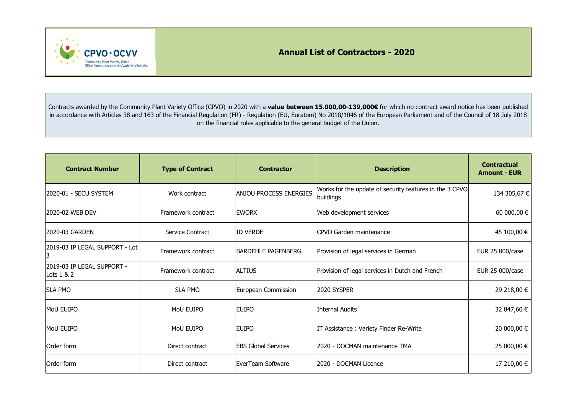**Annual List of Contractors - 2020**



Contracts awarded by the Community Plant Variety Office (CPVO) in 2020 with a **value between 15.000,00‐139,000€** for which no contract award notice has been published in accordance with Articles 38 and 163 of the Financial Regulation (FR) - Regulation (EU, Euratom) No 2018/1046 of the European Parliament and of the Council of 18 July 2018 on the financial rules applicable to the general budget of the Union.

| <b>Contract Number</b>                   | <b>Type of Contract</b> | <b>Contractor</b>             | <b>Description</b>                                                   | <b>Contractual</b><br><b>Amount - EUR</b> |
|------------------------------------------|-------------------------|-------------------------------|----------------------------------------------------------------------|-------------------------------------------|
| 2020-01 - SECU SYSTEM                    | Work contract           | <b>ANJOU PROCESS ENERGIES</b> | Works for the update of security features in the 3 CPVO<br>buildings | 134 305,67 €                              |
| 2020-02 WEB DEV                          | Framework contract      | <b>EWORX</b>                  | Web development services                                             | 60 000,00 €                               |
| 2020-03 GARDEN                           | Service Contract        | <b>ID VERDE</b>               | CPVO Garden maintenance                                              | 45 100,00 €                               |
| 2019-03 IP LEGAL SUPPORT - Lot<br>3      | Framework contract      | <b>BARDEHLE PAGENBERG</b>     | Provision of legal services in German                                | EUR 25 000/case                           |
| 2019-03 IP LEGAL SUPPORT -<br>Lots 1 & 2 | Framework contract      | <b>ALTIUS</b>                 | Provision of legal services in Dutch and French                      | EUR 25 000/case                           |
| <b>SLA PMO</b>                           | <b>SLA PMO</b>          | European Commission           | 2020 SYSPER                                                          | 29 218,00 €                               |
| <b>MoU EUIPO</b>                         | MoU EUIPO               | <b>EUIPO</b>                  | <b>Internal Audits</b>                                               | 32 847,60 €                               |
| MoU EUIPO                                | MoU EUIPO               | <b>EUIPO</b>                  | IT Assistance: Variety Finder Re-Write                               | 20 000,00 €                               |
| Order form                               | Direct contract         | <b>EBS Global Services</b>    | 2020 - DOCMAN maintenance TMA                                        | 25 000,00 €                               |
| Order form                               | Direct contract         | EverTeam Software             | 2020 - DOCMAN Licence                                                | 17 210,00 €                               |